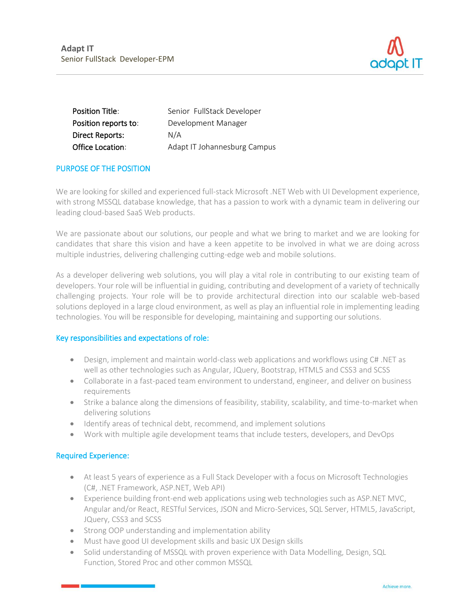

| <b>Position Title:</b>  | Senior FullStack Developer   |
|-------------------------|------------------------------|
| Position reports to:    | Development Manager          |
| <b>Direct Reports:</b>  | N/A                          |
| <b>Office Location:</b> | Adapt IT Johannesburg Campus |

# PURPOSE OF THE POSITION

We are looking for skilled and experienced full-stack Microsoft .NET Web with UI Development experience, with strong MSSQL database knowledge, that has a passion to work with a dynamic team in delivering our leading cloud-based SaaS Web products.

We are passionate about our solutions, our people and what we bring to market and we are looking for candidates that share this vision and have a keen appetite to be involved in what we are doing across multiple industries, delivering challenging cutting-edge web and mobile solutions.

As a developer delivering web solutions, you will play a vital role in contributing to our existing team of developers. Your role will be influential in guiding, contributing and development of a variety of technically challenging projects. Your role will be to provide architectural direction into our scalable web-based solutions deployed in a large cloud environment, as well as play an influential role in implementing leading technologies. You will be responsible for developing, maintaining and supporting our solutions.

# Key responsibilities and expectations of role:

- Design, implement and maintain world-class web applications and workflows using C# .NET as well as other technologies such as Angular, JQuery, Bootstrap, HTML5 and CSS3 and SCSS
- Collaborate in a fast-paced team environment to understand, engineer, and deliver on business requirements
- Strike a balance along the dimensions of feasibility, stability, scalability, and time-to-market when delivering solutions
- Identify areas of technical debt, recommend, and implement solutions
- Work with multiple agile development teams that include testers, developers, and DevOps

# Required Experience:

- At least 5 years of experience as a Full Stack Developer with a focus on Microsoft Technologies (C#, .NET Framework, ASP.NET, Web API)
- Experience building front-end web applications using web technologies such as ASP.NET MVC, Angular and/or React, RESTful Services, JSON and Micro-Services, SQL Server, HTML5, JavaScript, JQuery, CSS3 and SCSS
- Strong OOP understanding and implementation ability
- Must have good UI development skills and basic UX Design skills
- Solid understanding of MSSQL with proven experience with Data Modelling, Design, SQL Function, Stored Proc and other common MSSQL